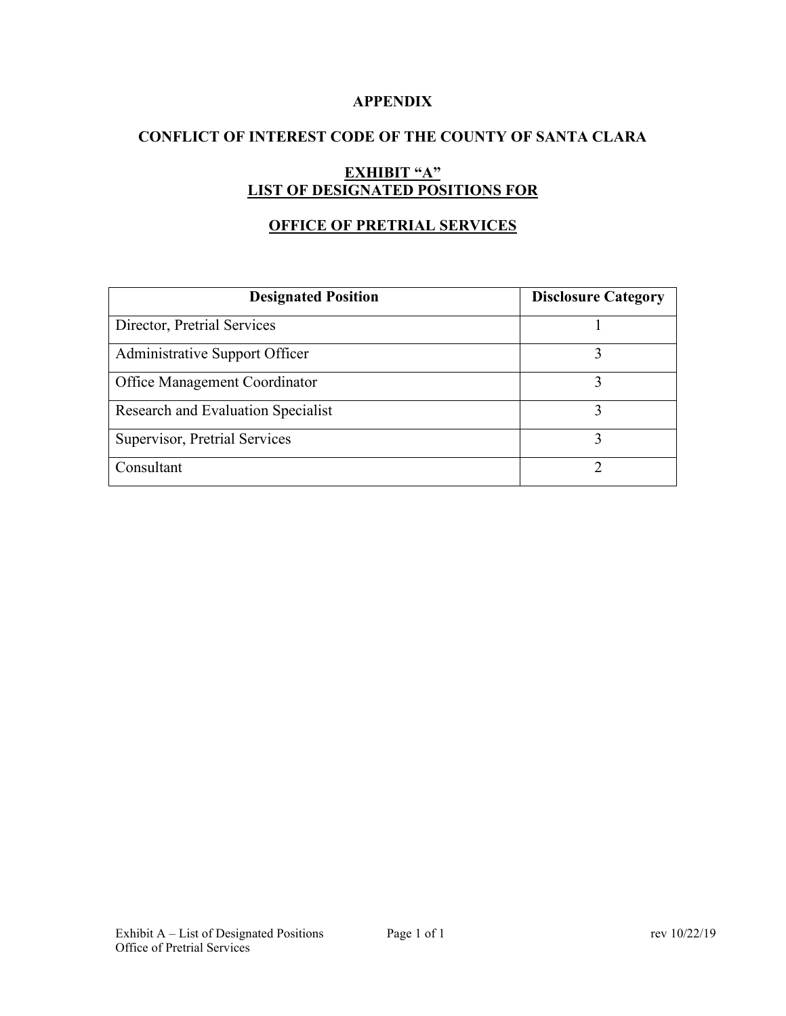### **APPENDIX**

## **CONFLICT OF INTEREST CODE OF THE COUNTY OF SANTA CLARA**

# **EXHIBIT "A" LIST OF DESIGNATED POSITIONS FOR**

## **OFFICE OF PRETRIAL SERVICES**

| <b>Designated Position</b>         | <b>Disclosure Category</b> |
|------------------------------------|----------------------------|
| Director, Pretrial Services        |                            |
| Administrative Support Officer     |                            |
| Office Management Coordinator      |                            |
| Research and Evaluation Specialist |                            |
| Supervisor, Pretrial Services      |                            |
| Consultant                         |                            |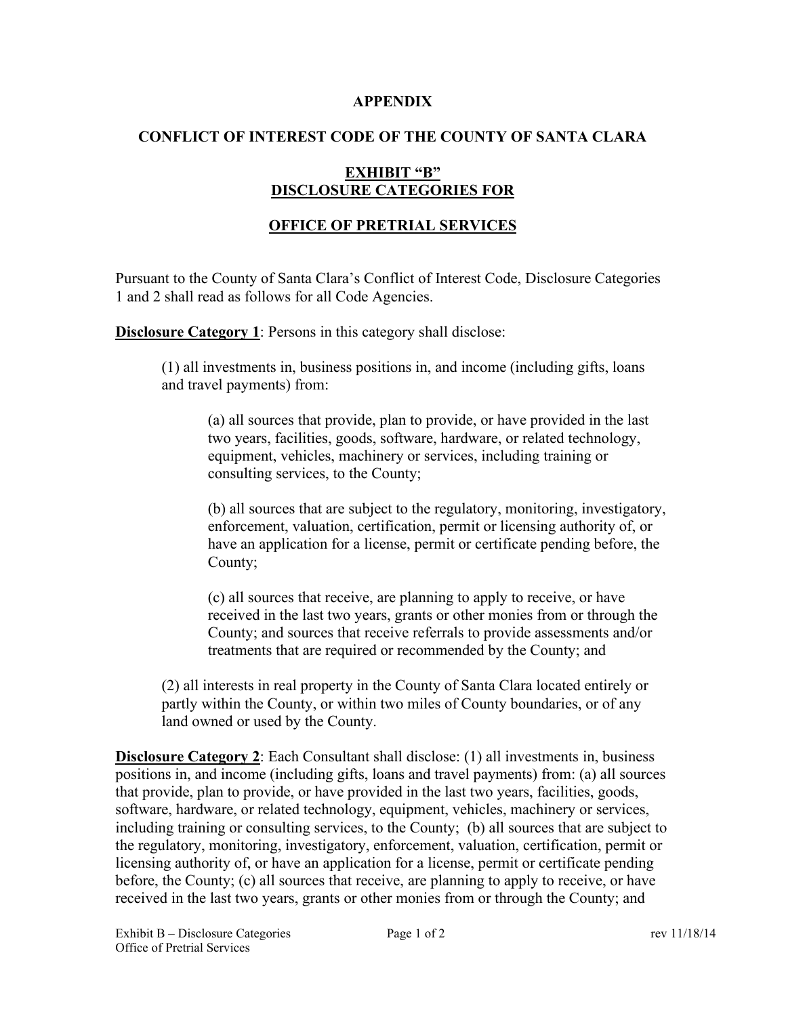#### **APPENDIX**

### **CONFLICT OF INTEREST CODE OF THE COUNTY OF SANTA CLARA**

## **EXHIBIT "B" DISCLOSURE CATEGORIES FOR**

## **OFFICE OF PRETRIAL SERVICES**

Pursuant to the County of Santa Clara's Conflict of Interest Code, Disclosure Categories 1 and 2 shall read as follows for all Code Agencies.

**Disclosure Category 1:** Persons in this category shall disclose:

(1) all investments in, business positions in, and income (including gifts, loans and travel payments) from:

(a) all sources that provide, plan to provide, or have provided in the last two years, facilities, goods, software, hardware, or related technology, equipment, vehicles, machinery or services, including training or consulting services, to the County;

(b) all sources that are subject to the regulatory, monitoring, investigatory, enforcement, valuation, certification, permit or licensing authority of, or have an application for a license, permit or certificate pending before, the County;

(c) all sources that receive, are planning to apply to receive, or have received in the last two years, grants or other monies from or through the County; and sources that receive referrals to provide assessments and/or treatments that are required or recommended by the County; and

(2) all interests in real property in the County of Santa Clara located entirely or partly within the County, or within two miles of County boundaries, or of any land owned or used by the County.

**Disclosure Category 2**: Each Consultant shall disclose: (1) all investments in, business positions in, and income (including gifts, loans and travel payments) from: (a) all sources that provide, plan to provide, or have provided in the last two years, facilities, goods, software, hardware, or related technology, equipment, vehicles, machinery or services, including training or consulting services, to the County; (b) all sources that are subject to the regulatory, monitoring, investigatory, enforcement, valuation, certification, permit or licensing authority of, or have an application for a license, permit or certificate pending before, the County; (c) all sources that receive, are planning to apply to receive, or have received in the last two years, grants or other monies from or through the County; and